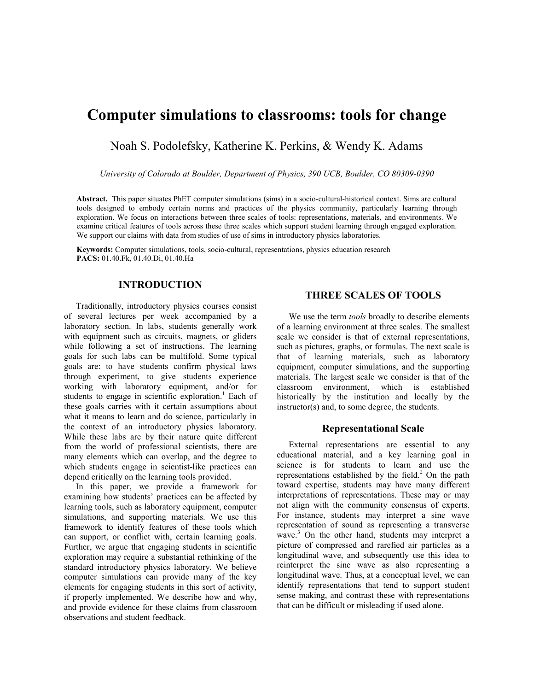# **Computer simulations to classrooms: tools for change**

Noah S. Podolefsky, Katherine K. Perkins, & Wendy K. Adams

*University of Colorado at Boulder, Department of Physics, 390 UCB, Boulder, CO 80309-0390* 

**Abstract.** This paper situates PhET computer simulations (sims) in a socio-cultural-historical context. Sims are cultural tools designed to embody certain norms and practices of the physics community, particularly learning through exploration. We focus on interactions between three scales of tools: representations, materials, and environments. We examine critical features of tools across these three scales which support student learning through engaged exploration. We support our claims with data from studies of use of sims in introductory physics laboratories.

**Keywords:** Computer simulations, tools, socio-cultural, representations, physics education research **PACS:** 01.40.Fk, 01.40.Di, 01.40.Ha

#### **INTRODUCTION**

Traditionally, introductory physics courses consist of several lectures per week accompanied by a laboratory section. In labs, students generally work with equipment such as circuits, magnets, or gliders while following a set of instructions. The learning goals for such labs can be multifold. Some typical goals are: to have students confirm physical laws through experiment, to give students experience working with laboratory equipment, and/or for students to engage in scientific exploration.<sup>1</sup> Each of these goals carries with it certain assumptions about what it means to learn and do science, particularly in the context of an introductory physics laboratory. While these labs are by their nature quite different from the world of professional scientists, there are many elements which can overlap, and the degree to which students engage in scientist-like practices can depend critically on the learning tools provided.

In this paper, we provide a framework for examining how students' practices can be affected by learning tools, such as laboratory equipment, computer simulations, and supporting materials. We use this framework to identify features of these tools which can support, or conflict with, certain learning goals. Further, we argue that engaging students in scientific exploration may require a substantial rethinking of the standard introductory physics laboratory. We believe computer simulations can provide many of the key elements for engaging students in this sort of activity, if properly implemented. We describe how and why, and provide evidence for these claims from classroom observations and student feedback.

### **THREE SCALES OF TOOLS**

We use the term *tools* broadly to describe elements of a learning environment at three scales. The smallest scale we consider is that of external representations, such as pictures, graphs, or formulas. The next scale is that of learning materials, such as laboratory equipment, computer simulations, and the supporting materials. The largest scale we consider is that of the classroom environment, which is established historically by the institution and locally by the instructor(s) and, to some degree, the students.

#### **Representational Scale**

External representations are essential to any educational material, and a key learning goal in science is for students to learn and use the representations established by the field. $2$  On the path toward expertise, students may have many different interpretations of representations. These may or may not align with the community consensus of experts. For instance, students may interpret a sine wave representation of sound as representing a transverse wave.<sup>3</sup> On the other hand, students may interpret a picture of compressed and rarefied air particles as a longitudinal wave, and subsequently use this idea to reinterpret the sine wave as also representing a longitudinal wave. Thus, at a conceptual level, we can identify representations that tend to support student sense making, and contrast these with representations that can be difficult or misleading if used alone.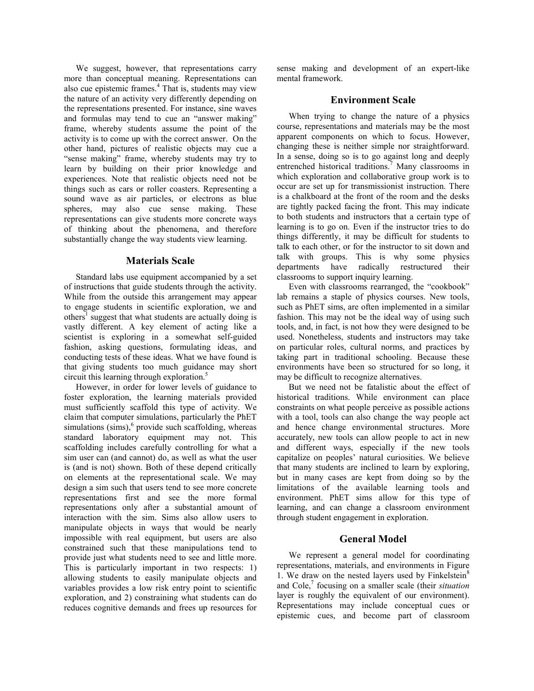We suggest, however, that representations carry more than conceptual meaning. Representations can also cue epistemic frames.<sup>4</sup> That is, students may view the nature of an activity very differently depending on the representations presented. For instance, sine waves and formulas may tend to cue an "answer making" frame, whereby students assume the point of the activity is to come up with the correct answer. On the other hand, pictures of realistic objects may cue a "sense making" frame, whereby students may try to learn by building on their prior knowledge and experiences. Note that realistic objects need not be things such as cars or roller coasters. Representing a sound wave as air particles, or electrons as blue spheres, may also cue sense making. These representations can give students more concrete ways of thinking about the phenomena, and therefore substantially change the way students view learning.

#### **Materials Scale**

Standard labs use equipment accompanied by a set of instructions that guide students through the activity. While from the outside this arrangement may appear to engage students in scientific exploration, we and others<sup>1</sup> suggest that what students are actually doing is vastly different. A key element of acting like a scientist is exploring in a somewhat self-guided fashion, asking questions, formulating ideas, and conducting tests of these ideas. What we have found is that giving students too much guidance may short circuit this learning through exploration.<sup>5</sup>

However, in order for lower levels of guidance to foster exploration, the learning materials provided must sufficiently scaffold this type of activity. We claim that computer simulations, particularly the PhET simulations  $(sims)$ , provide such scaffolding, whereas standard laboratory equipment may not. This scaffolding includes carefully controlling for what a sim user can (and cannot) do, as well as what the user is (and is not) shown. Both of these depend critically on elements at the representational scale. We may design a sim such that users tend to see more concrete representations first and see the more formal representations only after a substantial amount of interaction with the sim. Sims also allow users to manipulate objects in ways that would be nearly impossible with real equipment, but users are also constrained such that these manipulations tend to provide just what students need to see and little more. This is particularly important in two respects: 1) allowing students to easily manipulate objects and variables provides a low risk entry point to scientific exploration, and 2) constraining what students can do reduces cognitive demands and frees up resources for

sense making and development of an expert-like mental framework.

#### **Environment Scale**

When trying to change the nature of a physics course, representations and materials may be the most apparent components on which to focus. However, changing these is neither simple nor straightforward. In a sense, doing so is to go against long and deeply entrenched historical traditions.<sup>7</sup> Many classrooms in which exploration and collaborative group work is to occur are set up for transmissionist instruction. There is a chalkboard at the front of the room and the desks are tightly packed facing the front. This may indicate to both students and instructors that a certain type of learning is to go on. Even if the instructor tries to do things differently, it may be difficult for students to talk to each other, or for the instructor to sit down and talk with groups. This is why some physics departments have radically restructured their classrooms to support inquiry learning.

Even with classrooms rearranged, the "cookbook" lab remains a staple of physics courses. New tools, such as PhET sims, are often implemented in a similar fashion. This may not be the ideal way of using such tools, and, in fact, is not how they were designed to be used. Nonetheless, students and instructors may take on particular roles, cultural norms, and practices by taking part in traditional schooling. Because these environments have been so structured for so long, it may be difficult to recognize alternatives.

But we need not be fatalistic about the effect of historical traditions. While environment can place constraints on what people perceive as possible actions with a tool, tools can also change the way people act and hence change environmental structures. More accurately, new tools can allow people to act in new and different ways, especially if the new tools capitalize on peoples' natural curiosities. We believe that many students are inclined to learn by exploring, but in many cases are kept from doing so by the limitations of the available learning tools and environment. PhET sims allow for this type of learning, and can change a classroom environment through student engagement in exploration.

#### **General Model**

We represent a general model for coordinating representations, materials, and environments in Figure 1. We draw on the nested layers used by  $Finkelstein<sup>8</sup>$ and Cole,<sup>7</sup> focusing on a smaller scale (their *situation* layer is roughly the equivalent of our environment). Representations may include conceptual cues or epistemic cues, and become part of classroom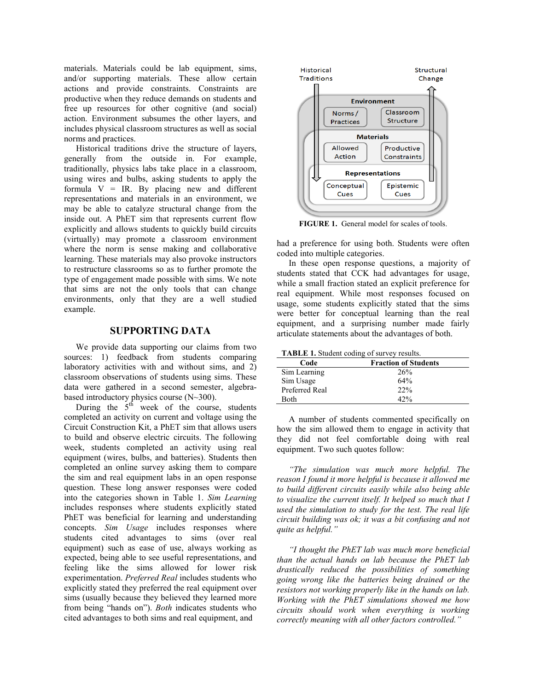materials. Materials could be lab equipment, sims, and/or supporting materials. These allow certain actions and provide constraints. Constraints are productive when they reduce demands on students and free up resources for other cognitive (and social) action. Environment subsumes the other layers, and includes physical classroom structures as well as social norms and practices.

Historical traditions drive the structure of layers, generally from the outside in. For example, traditionally, physics labs take place in a classroom, using wires and bulbs, asking students to apply the formula  $V = IR$ . By placing new and different representations and materials in an environment, we may be able to catalyze structural change from the inside out. A PhET sim that represents current flow explicitly and allows students to quickly build circuits (virtually) may promote a classroom environment where the norm is sense making and collaborative learning. These materials may also provoke instructors to restructure classrooms so as to further promote the type of engagement made possible with sims. We note that sims are not the only tools that can change environments, only that they are a well studied example.

## **SUPPORTIG DATA**

We provide data supporting our claims from two sources: 1) feedback from students comparing laboratory activities with and without sims, and 2) classroom observations of students using sims. These data were gathered in a second semester, algebrabased introductory physics course (N~300).

During the  $5<sup>th</sup>$  week of the course, students completed an activity on current and voltage using the Circuit Construction Kit, a PhET sim that allows users to build and observe electric circuits. The following week, students completed an activity using real equipment (wires, bulbs, and batteries). Students then completed an online survey asking them to compare the sim and real equipment labs in an open response question. These long answer responses were coded into the categories shown in Table 1. *Sim Learning* includes responses where students explicitly stated PhET was beneficial for learning and understanding concepts. *Sim Usage* includes responses where students cited advantages to sims (over real equipment) such as ease of use, always working as expected, being able to see useful representations, and feeling like the sims allowed for lower risk experimentation. *Preferred Real* includes students who explicitly stated they preferred the real equipment over sims (usually because they believed they learned more from being "hands on"). *Both* indicates students who cited advantages to both sims and real equipment, and



**FIGURE 1.** General model for scales of tools.

had a preference for using both. Students were often coded into multiple categories.

In these open response questions, a majority of students stated that CCK had advantages for usage, while a small fraction stated an explicit preference for real equipment. While most responses focused on usage, some students explicitly stated that the sims were better for conceptual learning than the real equipment, and a surprising number made fairly articulate statements about the advantages of both.

| <b>TABLE 1.</b> Student coding of survey results. |  |  |
|---------------------------------------------------|--|--|
|                                                   |  |  |

| Code           | <b>Fraction of Students</b> |  |  |
|----------------|-----------------------------|--|--|
| Sim Learning   | 26%                         |  |  |
| Sim Usage      | 64%                         |  |  |
| Preferred Real | 22%                         |  |  |
| Both           | 42%                         |  |  |
|                |                             |  |  |

A number of students commented specifically on how the sim allowed them to engage in activity that they did not feel comfortable doing with real equipment. Two such quotes follow:

*"The simulation was much more helpful. The reason I found it more helpful is because it allowed me to build different circuits easily while also being able to visualize the current itself. It helped so much that I used the simulation to study for the test. The real life circuit building was ok; it was a bit confusing and not quite as helpful."* 

*"I thought the PhET lab was much more beneficial than the actual hands on lab because the PhET lab drastically reduced the possibilities of something going wrong like the batteries being drained or the resistors not working properly like in the hands on lab. Working with the PhET simulations showed me how circuits should work when everything is working correctly meaning with all other factors controlled."*